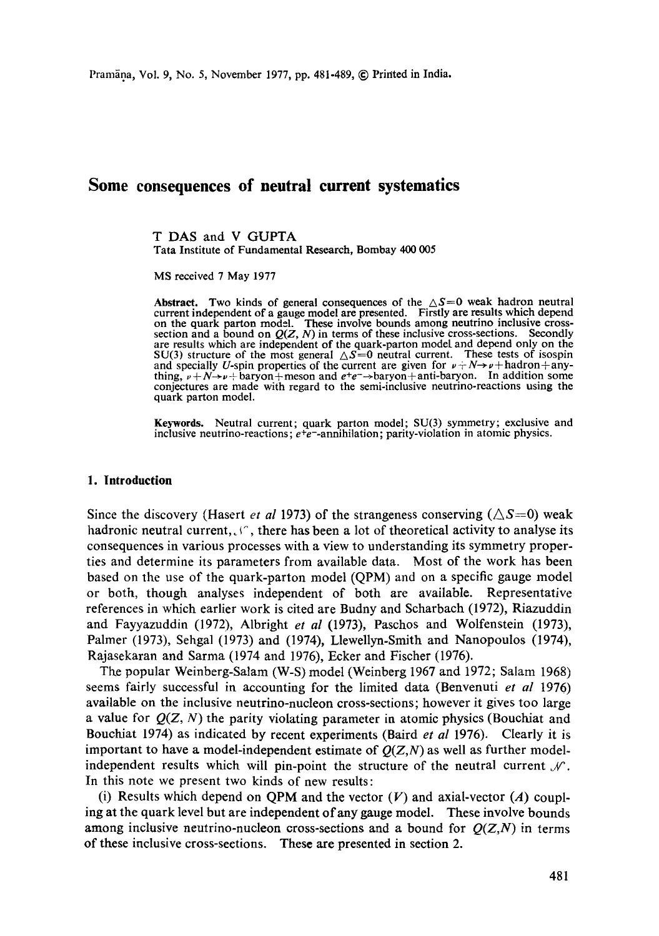# **Some consequences of neutral current systematics**

T DAS and V GUPTA Tata Institute of Fundamental Research, Bombay 400 005

MS received 7 May 1977

**Abstract.** Two kinds of general consequences of the  $\Delta S=0$  weak hadron neutral current independent of a gauge model are presented. Firstly **are results** which depend on the quark parton model. These involve bounds among neutrino inclusive cross-<br>section and a bound on *Q(Z, N)* in terms of these inclusive cross-sections. Secondly are results which are independent of the quark-parton model and depend only on the SU(3) structure of the most general  $\Delta S=0$  neutral current. These tests of isospin and specially U-spin properties of the current are given for  $\nu + N \rightarrow \nu + \text{hadron} + \text{any}$ thing,  $\nu + N \rightarrow \nu + \text{baryon} + \text{meson}$  and  $e^+e^- \rightarrow \text{baryon} + \text{anti-baryon}$ . In addition some conjectures are made with regard to the semi-inclusive neutrino-reactions using the quark parton model.

**Keywords.** Neutral current; quark parton model; SU(3) symmetry; exclusive and inclusive neutrino-reactions;  $e^+e^-$ -annihilation; parity-violation in atomic physics.

### **1. Introduction**

Since the discovery (Hasert *et al* 1973) of the strangeness conserving  $(\triangle S=0)$  weak hadronic neutral current,  $\mathcal{L}^{\prime}$ , there has been a lot of theoretical activity to analyse its consequences in various processes with a view to understanding its symmetry properties and determine its parameters from available data. Most of the work has been based on the use of the quark-parton model (QPM) and on a specific gauge model or both, though analyses independent of both are available. Representative references in which earlier work is cited are Budny and Scharbach (1972), Riazuddin and Fayyazuddin (1972), Albright *et al* (1973), Paschos and Wolfenstein (1973), Palmer (1973), Sehgal (1973) and (1974), Llewellyn-Smith and Nanopoulos (1974), Rajasekaran and Sarma (1974 and 1976), Ecker and Fischer (1976).

The popular Weinberg-Salam (W-S) model (Weinberg 1967 and 1972; Salam 1968) seems fairly successful in accounting for the limited data (Benvenuti *et al* 1976) available on the inclusive neutrino-nucleon cross-sections; however it gives too large a value for  $Q(Z, N)$  the parity violating parameter in atomic physics (Bouchiat and Bouchiat 1974) as indicated by recent experiments (Baird *et al* 1976). Clearly it is important to have a model-independent estimate of  $Q(Z,N)$  as well as further modelindependent results which will pin-point the structure of the neutral current  $\mathcal{N}$ . In this note we present two kinds of new results:

(i) Results which depend on QPM and the vector  $(V)$  and axial-vector  $(A)$  coupling at the quark level but are independent of any gauge model. These involve bounds among inclusive neutrino-nucleon cross-sections and a bound for  $Q(Z, N)$  in terms of these inclusive cross-sections. These are presented in section 2.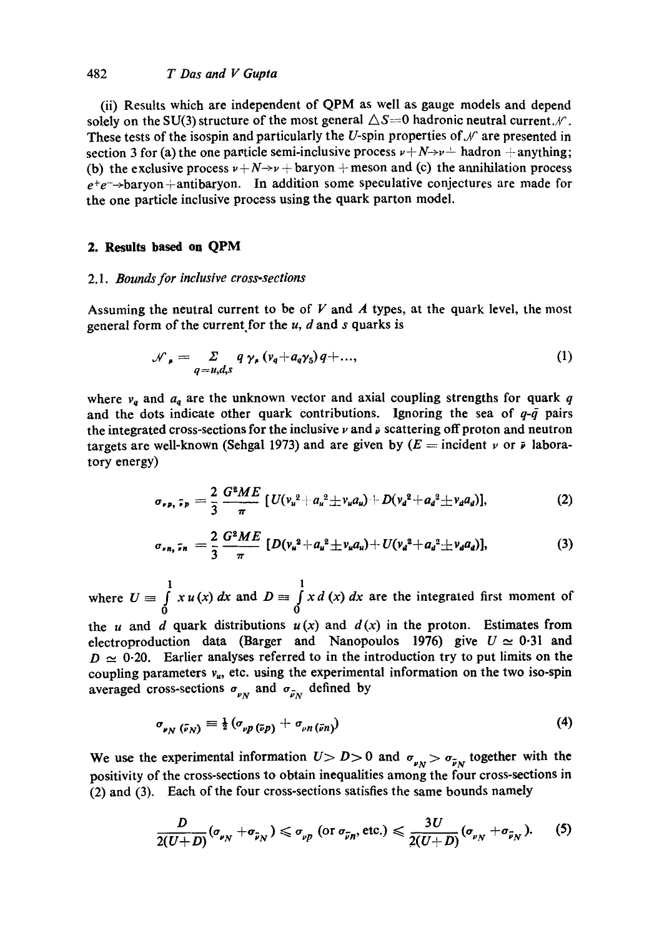### 482 *T Das and V Gupta*

(ii) Results which are independent of QPM as well as gauge models and depend solely on the SU(3) structure of the most general  $\triangle S=0$  hadronic neutral current. $\mathcal{N}$ . These tests of the isospin and particularly the U-spin properties of  $\mathcal N$  are presented in section 3 for (a) the one particle semi-inclusive process  $v + N \rightarrow v^{\perp}$  hadron  $+$  anything; (b) the exclusive process  $v + N \rightarrow v +$  baryon  $+$  meson and (c) the annihilation process  $e^+e^- \rightarrow$ baryon+antibaryon. In addition some speculative conjectures are made for the one particle inclusive process using the quark patton model.

## **2. Results based on QPM**

#### 2.1. *Bounds for inclusive cross-sections*

Assuming the neutral current to be of  $V$  and  $\Lambda$  types, at the quark level, the most general form of the current for the  $u$ ,  $d$  and  $s$  quarks is

$$
\mathcal{N}_{\rho} = \sum_{q=u,d,s} q \gamma_{\rho} (v_q + a_q \gamma_5) q + ..., \qquad (1)
$$

where  $v_q$  and  $a_q$  are the unknown vector and axial coupling strengths for quark q and the dots indicate other quark contributions. Ignoring the sea of  $q-\bar{q}$  pairs the integrated cross-sections for the inclusive  $\nu$  and  $\nu$  scattering off proton and neutron targets are well-known (Sehgal 1973) and are given by  $(E = \text{incident } \nu \text{ or } \bar{\nu} \text{ labora-}$ tory energy)

$$
\sigma_{\nu p, \tilde{\nu} p} = \frac{2}{3} \frac{G^2 M E}{\pi} \left[ U(v_u^2 + a_u^2 \pm v_u a_u) + D(v_d^2 + a_d^2 \pm v_d a_d) \right], \tag{2}
$$

$$
\sigma_{\nu n_1} \tau_n = \frac{2}{3} \frac{G^2 M E}{\pi} \left[ D(v_u^2 + a_u^2 \pm v_u a_u) + U(v_d^2 + a_d^2 \pm v_d a_d) \right], \tag{3}
$$

where  $U = \int_a^1 x u(x) dx$  and  $D = \int x d(x) dx$  are the integrated first moment of **0 0** 

the u and d quark distributions  $u(x)$  and  $d(x)$  in the proton. Estimates from electroproduction data (Barger and Nanopoulos 1976) give  $U \approx 0.31$  and  $D \simeq 0.20$ . Earlier analyses referred to in the introduction try to put limits on the coupling parameters  $v_{\mu}$ , etc. using the experimental information on the two iso-spin averaged cross-sections  $\sigma_{\nu N}$  and  $\sigma_{\bar{\nu}N}$  defined by

$$
\sigma_{\nu N}(\bar{\nu}_N) \equiv \frac{1}{2} (\sigma_{\nu p} (\bar{\nu}_p) + \sigma_{\nu n} (\bar{\nu}_n)) \tag{4}
$$

We use the experimental information  $U > D > 0$  and  $\sigma_{\nu} > \sigma_{\bar{\nu}_N}$  together with the positivity of the cross-sections to obtain inequalities among the four cross-sections in (2) and (3). Each of the four cross-sections satisfies the same bounds namely

$$
\frac{D}{2(U+D)}(\sigma_{\nu_N}+\sigma_{\widetilde{\nu}_N})\leqslant \sigma_{\nu p} \text{ (or } \sigma_{\widetilde{\nu}n}, \text{ etc.)}\leqslant \frac{3U}{2(U+D)}(\sigma_{\nu_N}+\sigma_{\widetilde{\nu}_N}).\qquad (5)
$$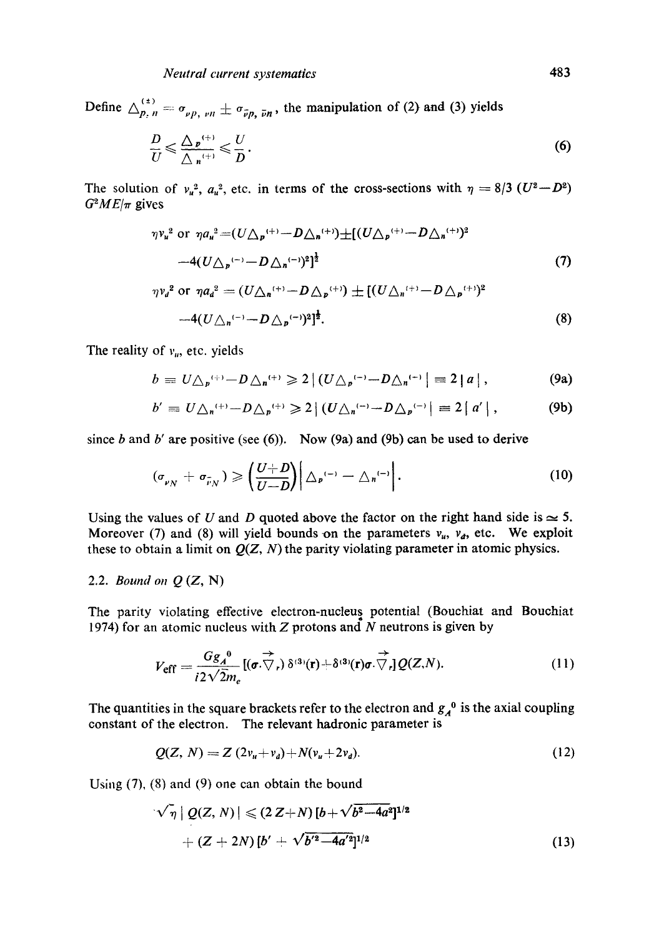Define  $\Delta_{p, n}^{(*)} = \sigma_{\nu p, \nu n} \pm \sigma_{\bar{\nu} p, \bar{\nu} n}$ , the manipulation of (2) and (3) yields

$$
\frac{D}{U} \leqslant \frac{\Delta_{\mathbf{p}}^{(+)}}{\Delta_{\mathbf{n}}^{(+)}} \leqslant \frac{U}{D}.
$$
\n
$$
(6)
$$

The solution of  $v_{\mu}^2$ ,  $a_{\mu}^2$ , etc. in terms of the cross-sections with  $\eta = 8/3$  ( $U^2 - D^2$ )  $G^2ME/\pi$  gives

$$
\eta v_u^2 \text{ or } \eta a_u^2 = (U \triangle_p^{(+)}-D \triangle_n^{(+)}) \pm [(U \triangle_p^{(+)}-D \triangle_n^{(+)})^2] \n-4(U \triangle_p^{(-)}-D \triangle_n^{(-)})^2]^{\frac{1}{2}}
$$
\n(7)  
\n
$$
\eta v_d^2 \text{ or } \eta a_d^2 = (U \triangle_n^{(+)}-D \triangle_p^{(+)}) \pm [(U \triangle_n^{(+)}-D \triangle_p^{(+)})^2] \n-4(U \triangle_n^{(-)}-D \triangle_p^{(-)})^2]^{\frac{1}{2}}.
$$
\n(8)

The reality of  $v_{\mu}$ , etc. yields

$$
b = U \triangle_p^{(+)}-D \triangle_n^{(+)} \geq 2 | (U \triangle_p^{(-)}-D \triangle_n^{(-)} | \equiv 2 | a |,
$$
 (9a)

$$
b' = U \triangle_n^{(+)}-D \triangle_p^{(+)} \geq 2 | (U \triangle_n^{(-)}-D \triangle_p^{(-)} | = 2 | a' |,
$$
 (9b)

since b and b' are positive (see  $(6)$ ). Now (9a) and (9b) can be used to derive

$$
(\sigma_{\nu N} + \sigma_{\tilde{\nu} N}) \geqslant \left(\frac{U+D}{U-D}\right) \left(\Delta_{P}^{(-)} - \Delta_{N}^{(-)}\right).
$$
 (10)

Using the values of U and D quoted above the factor on the right hand side is  $\approx$  5. Moreover (7) and (8) will yield bounds on the parameters  $v_{u}$ ,  $v_{d}$ , etc. We exploit these to obtain a limit on  $Q(Z, N)$  the parity violating parameter in atomic physics.

#### *2.2. Bound on Q* (Z, N)

The parity violating effective electron-nucleus potential (Bouehiat and Bouchiat 1974) for an atomic nucleus with  $Z$  protons and  $N$  neutrons is given by

$$
V_{\text{eff}} = \frac{Gg_A^{0}}{i2\sqrt{2}m_e} [(\boldsymbol{\sigma} \cdot \nabla_r) \delta^{(3)}(\mathbf{r}) + \delta^{(3)}(\mathbf{r})\boldsymbol{\sigma} \cdot \nabla_r] Q(Z,N). \qquad (11)
$$

The quantities in the square brackets refer to the electron and  $g_A^0$  is the axial coupling constant of the electron. The relevant hadronic parameter is

$$
Q(Z, N) = Z (2v_u + v_d) + N(v_u + 2v_d).
$$
 (12)

Using (7), (8) and (9) one can obtain the bound

$$
\sqrt{\eta} | Q(Z, N) | \leq (2 Z + N) [b + \sqrt{b^2 - 4a^2}]^{1/2}
$$
  
+  $(Z + 2N) [b' + \sqrt{b'^2 - 4a'^2}]^{1/2}$  (13)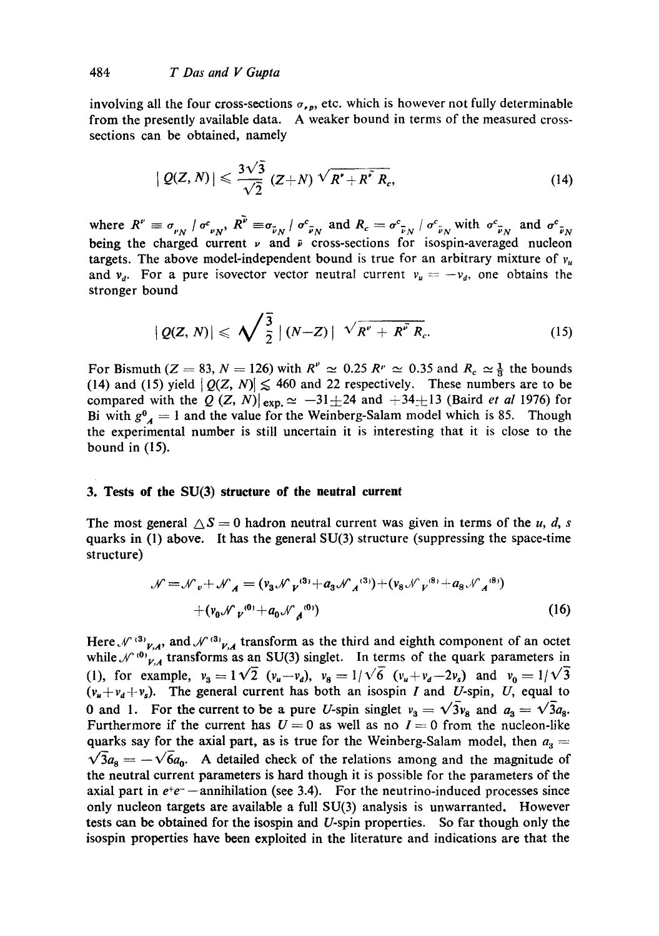involving all the four cross-sections  $\sigma_{\nu,p}$ , etc. which is however not fully determinable from the presently available data. A weaker bound in terms of the measured crosssections can be obtained, namely

$$
|Q(Z,N)| \leqslant \frac{3\sqrt{3}}{\sqrt{2}} (Z+N) \sqrt{R^{\prime}+R^{\prime} R_{c}}, \qquad (14)
$$

where  $R'' \equiv \sigma_{\nu} \overline{N} / \sigma_{\nu}^c$ ,  $R'' \equiv \sigma_{\bar{\nu}N} / \sigma_{\bar{\nu}N}^c$  and  $R_c = \sigma_{\bar{\nu}N}^c / \sigma_{\bar{\nu}N}^c$  with  $\sigma_{\bar{\nu}N}^c$  and  $\sigma_{\bar{\nu}N}^c$ being the charged current  $\nu$  and  $\bar{\nu}$  cross-sections for isospin-averaged nucleon targets. The above model-independent bound is true for an arbitrary mixture of  $v_{\mu}$ and  $v_a$ . For a pure isovector vector neutral current  $v_a = -v_a$ , one obtains the stronger bound

$$
|Q(Z,N)| \leqslant \sqrt{\frac{3}{2}} \left\lfloor (N-Z) \right\rfloor \sqrt{R^{\nu}+R^{\nu}R_{c}}.
$$
 (15)

For Bismuth ( $Z = 83$ ,  $N = 126$ ) with  $R'' \approx 0.25 R'' \approx 0.35$  and  $R_c \approx \frac{1}{3}$  the bounds (14) and (15) yield  $|Q(Z, N)| \leq 460$  and 22 respectively. These numbers are to be compared with the Q  $(Z, N)|_{\text{exp.}} \simeq -31 \pm 24$  and  $+34 \pm 13$  (Baird *et al* 1976) for Bi with  $g^0$  = 1 and the value for the Weinberg-Salam model which is 85. Though the experimental number is still uncertain it is interesting that it is close to the bound in (15).

#### **3. Tests of the SU(3) structure of the neutral current**

The most general  $\Delta S = 0$  hadron neutral current was given in terms of the u, d, s quarks in (1) above. It has the general SU(3) structure (suppressing the space-time structure)

$$
\mathcal{N} = \mathcal{N}_v + \mathcal{N}_A = (v_3 \mathcal{N}_V^{(3)} + a_3 \mathcal{N}_A^{(3)}) + (v_8 \mathcal{N}_V^{(8)} + a_8 \mathcal{N}_A^{(8)})
$$
  
+  $(v_0 \mathcal{N}_V^{(0)} + a_0 \mathcal{N}_A^{(0)})$  (16)

Here,  $\mathcal{N}^{(3)}v_{,A}$ , and  $\mathcal{N}^{(3)}v_{,A}$  transform as the third and eighth component of an octet while  $\mathcal{N}^{(0)}_{V, A}$  transforms as an SU(3) singlet. In terms of the quark parameters in (1), for example,  $v_3 = 1\sqrt{2}$   $(v_u - v_d)$ ,  $v_8 = 1/\sqrt{6}$   $(v_u + v_d - 2v_s)$  and  $v_0 = 1/\sqrt{3}$  $(v_n+v_d+v_s)$ . The general current has both an isospin I and U-spin, U, equal to 0 and 1. For the current to be a pure U-spin singlet  $v_3 = \sqrt{3}v_8$  and  $a_3 = \sqrt{3}a_8$ . Furthermore if the current has  $U = 0$  as well as no  $I = 0$  from the nucleon-like quarks say for the axial part, as is true for the Weinberg-Salam model, then  $a_3 =$  $\sqrt{3}a_8 = -\sqrt{6}a_0$ . A detailed check of the relations among and the magnitude of the neutral current parameters is hard though it is possible for the parameters of the axial part in  $e^+e^-$  --annihilation (see 3.4). For the neutrino-induced processes since only nucleon targets are available a full SU(3) analysis is unwarranted. However tests can be obtained for the isospin and U-spin properties. So far though only the isospin properties have been exploited in the literature and indications are that the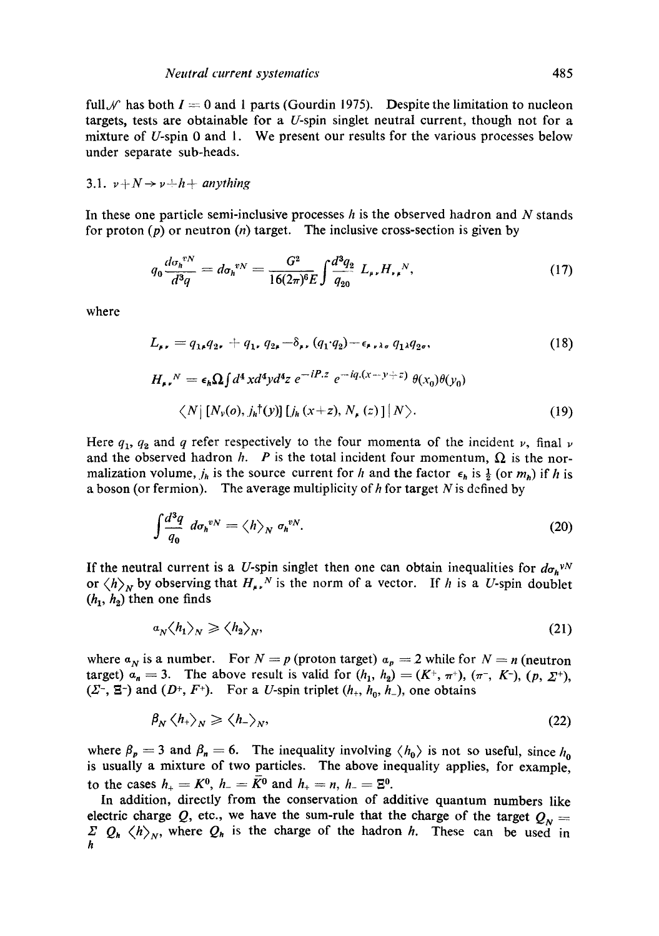full  $\mathcal N$  has both  $I = 0$  and 1 parts (Gourdin 1975). Despite the limitation to nucleon targets, tests are obtainable for a  $U$ -spin singlet neutral current, though not for a mixture of U-spin  $\theta$  and  $\theta$ . We present our results for the various processes below under separate sub-heads.

3.1. 
$$
\nu + N \rightarrow \nu + h + \text{anything}
$$

In these one particle semi-inclusive processes  $h$  is the observed hadron and  $N$  stands for proton  $(p)$  or neutron  $(n)$  target. The inclusive cross-section is given by

$$
q_0 \frac{d\sigma_h^{*N}}{d^3q} = d\sigma_h^{*N} = \frac{G^2}{16(2\pi)^6 E} \int \frac{d^3q_2}{q_{20}} L_{\mu\nu} H_{\nu\mu}{}^{N},\tag{17}
$$

where

$$
L_{\mu\nu} = q_{1\mu}q_{2\mu} + q_{1\mu}q_{2\mu} - \delta_{\mu\nu}(q_1 \cdot q_2) - \epsilon_{\mu\nu\lambda\sigma} q_{1\lambda}q_{2\sigma}, \qquad (18)
$$

$$
H_{\mu\nu}{}^{N} = \epsilon_{h}\Omega \int d^{4}x d^{4}y d^{4}z \ e^{-iP.z} \ e^{-iq.(x-y+z)} \ \theta(x_{0})\theta(y_{0})
$$
  

$$
\langle N | [N_{\nu}(o), j_{h}^{\dagger}(y)] [j_{h}(x+z), N_{\mu}(z)] | N \rangle.
$$
 (19)

Here  $q_1$ ,  $q_2$  and q refer respectively to the four momenta of the incident v, final v and the observed hadron h. P is the total incident four momentum,  $\Omega$  is the normalization volume,  $j_h$  is the source current for h and the factor  $\epsilon_h$  is  $\frac{1}{2}$  (or  $m_h$ ) if h is a boson (or fermion). The average multiplicity of  $h$  for target  $N$  is defined by

$$
\int \frac{d^3q}{q_0} \ d\sigma_h^{vN} = \langle h \rangle_N \ \sigma_h^{vN}.\tag{20}
$$

If the neutral current is a U-spin singlet then one can obtain inequalities for  $d_{\sigma_h} v^N$ or  $\langle h \rangle_N$  by observing that  $H_{\mu\nu}^N$  is the norm of a vector. If h is a U-spin doublet  $(h_1, h_2)$  then one finds

$$
a_N \langle h_1 \rangle_N \ge \langle h_2 \rangle_N,\tag{21}
$$

where  $a_N$  is a number. For  $N = p$  (proton target)  $a_p = 2$  while for  $N = n$  (neutron target)  $a_n = 3$ . The above result is valid for  $(h_1, h_2) = (K^+, \pi^+), (\pi^-, K^-), (p, \Sigma^+),$ ( $\Sigma$ <sup>-</sup>,  $\Xi$ <sup>-</sup>) and ( $D$ <sup>+</sup>,  $F$ <sup>+</sup>). For a *U*-spin triplet ( $h$ <sub>+</sub>,  $h$ <sub>0</sub>,  $h$ <sub>-</sub>), one obtains

$$
\beta_N \left\langle h_{+} \right\rangle_N \geqslant \left\langle h_{-} \right\rangle_N,\tag{22}
$$

where  $\beta_p = 3$  and  $\beta_n = 6$ . The inequality involving  $\langle h_0 \rangle$  is not so useful, since  $h_0$ is usually a mixture of two particles. The above inequality applies, for example, to the cases  $h_{+} = K^{0}$ ,  $h_{-} = \bar{K}^{0}$  and  $h_{+} = n$ ,  $h_{-} = \Xi^{0}$ .

In addition, directly from the conservation of additive quantum numbers like electric charge Q, etc., we have the sum-rule that the charge of the target  $Q_N =$  $\sum Q_h \langle h \rangle_N$ , where  $Q_h$  is the charge of the hadron h. These can be used in h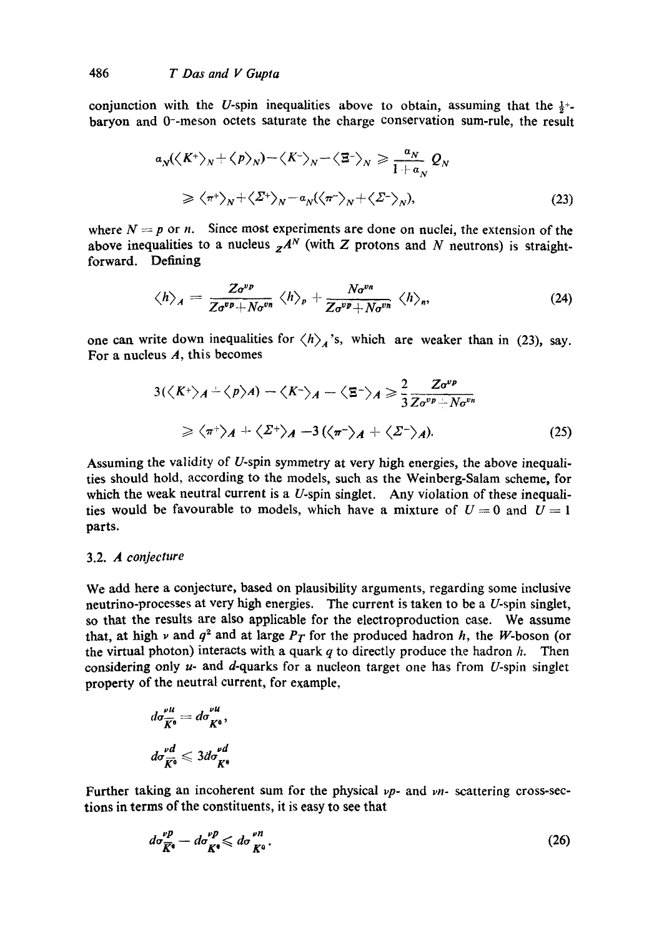conjunction with the U-spin inequalities above to obtain, assuming that the  $\frac{1}{2}$ +baryon and 0--meson octets saturate the charge conservation sum-rule, the result

$$
\begin{aligned}\n a_N && \left\langle \left\langle K^+ \right\rangle_N + \left\langle p \right\rangle_N \right\rangle - \left\langle K^- \right\rangle_N - \left\langle \mathbf{E}^- \right\rangle_N \ge \frac{a_N}{1 + a_N} \mathcal{Q}_N \\
&\ge \left\langle \pi^+ \right\rangle_N + \left\langle \Sigma^+ \right\rangle_N - a_N \left\langle \left\langle \pi^- \right\rangle_N + \left\langle \Sigma^- \right\rangle_N \right),\n \end{aligned}\n \tag{23}
$$

where  $N = p$  or n. Since most experiments are done on nuclei, the extension of the above inequalities to a nucleus  $z^{A^N}$  (with Z protons and N neutrons) is straightforward. Defining

$$
\langle h \rangle_{A} = \frac{Z \sigma^{vp}}{Z \sigma^{vp} + N \sigma^{vn}} \langle h \rangle_{p} + \frac{N \sigma^{vn}}{Z \sigma^{vp} + N \sigma^{vn}} \langle h \rangle_{n}, \qquad (24)
$$

one can write down inequalities for  $\langle h \rangle_A$ 's, which are weaker than in (23), say. For a nucleus  $A$ , this becomes

$$
3(\langle K^{+}\rangle_{A} + \langle p\rangle_{A}) - \langle K^{-}\rangle_{A} - \langle \Xi^{-}\rangle_{A} \geq \frac{2}{3} \frac{Z\sigma^{vp}}{Z\sigma^{vp} + N\sigma^{vp}}
$$
  

$$
\geq \langle \pi^{+}\rangle_{A} + \langle \Sigma^{+}\rangle_{A} - 3(\langle \pi^{-}\rangle_{A} + \langle \Sigma^{-}\rangle_{A}). \tag{25}
$$

Assuming the validity of U-spin symmetry at very high energies, the above inequalities should hold, according to the models, such as the Weinberg-Salam scheme, for which the weak neutral current is a U-spin singlet. Any violation of these inequalities would be favourable to models, which have a mixture of  $U = 0$  and  $U = 1$ parts.

#### 3.2. *A conjecture*

We add here a conjecture, based on plausibility arguments, regarding some inclusive neutrino-processes at very high energies. The current is taken to be a U-spin singlet, so that the results are also applicable for the electroproduction case. We assume that, at high  $\nu$  and  $q^2$  and at large  $P_T$  for the produced hadron h, the W-boson (or the virtual photon) interacts with a quark  $q$  to directly produce the hadron  $h$ . Then considering only  $u$ - and  $d$ -quarks for a nucleon target one has from U-spin singlet property of the neutral current, for example,

$$
d\sigma_{\overline{K}^0}^{\nu u} = d\sigma_{K^0}^{\nu u},
$$

$$
d\sigma_{\overline{K}^0}^{\nu d} \leqslant 3d\sigma_{K^0}^{\nu d}
$$

Further taking an incoherent sum for the physical *vp-* and vn- scattering cross-sections in terms of the constituents, it is easy to see that

$$
d\sigma_{\overline{K}^{\bullet}}^{\nu p} - d\sigma_{K^{\bullet}}^{\nu p} \leqslant d\sigma_{K^0}^{\nu n}.
$$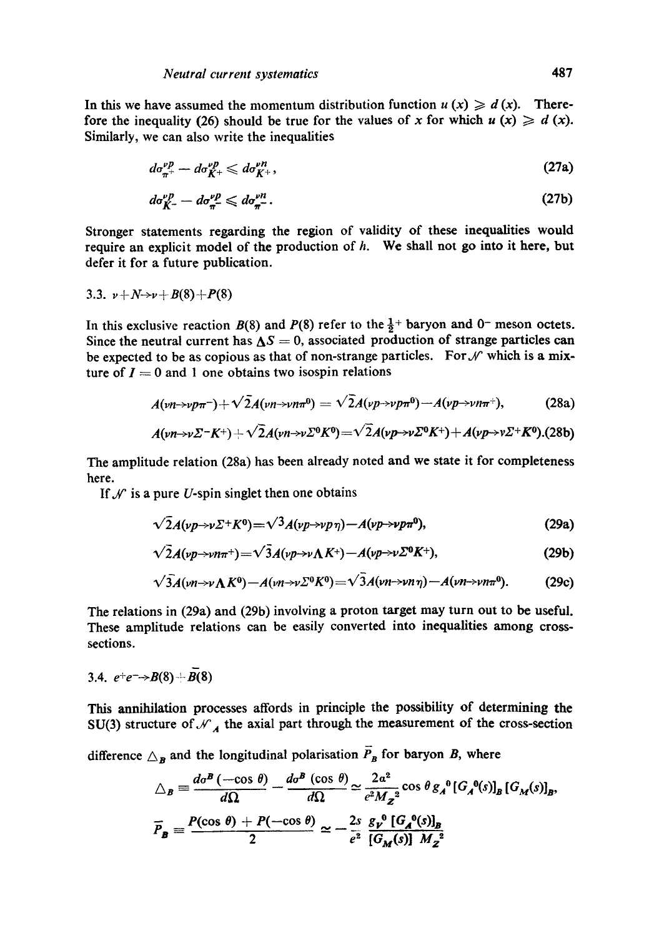In this we have assumed the momentum distribution function  $u(x) \ge d(x)$ . Therefore the inequality (26) should be true for the values of x for which  $u(x) \geq d(x)$ . Similarly, we can also write the inequalities

$$
d\sigma_{\pi^+}^{\nu p} - d\sigma_{K^+}^{\nu p} \leqslant d\sigma_{K^+}^{\nu n},\tag{27a}
$$

$$
d\sigma_{K^-}^{\nu p} - d\sigma_{\pi^-}^{\nu p} \leqslant d\sigma_{\pi^-}^{\nu n}.
$$

Stronger statements regarding the region of validity of these inequalities would require an explicit model of the production of  $h$ . We shall not go into it here, but defer it for a future publication.

3.3. 
$$
\nu + N \rightarrow \nu + B(8) + P(8)
$$

In this exclusive reaction  $B(8)$  and  $P(8)$  refer to the  $\frac{1}{2}$ + baryon and 0<sup>-</sup> meson octets. Since the neutral current has  $\Delta S = 0$ , associated production of strange particles can be expected to be as copious as that of non-strange particles. For  $\mathcal N$  which is a mixture of  $I = 0$  and 1 one obtains two isospin relations

$$
A(\nu n \rightarrow \nu p \pi^{-}) + \sqrt{2}A(\nu n \rightarrow \nu n \pi^{0}) = \sqrt{2}A(\nu p \rightarrow \nu p \pi^{0}) - A(\nu p \rightarrow \nu n \pi^{+}), \qquad (28a)
$$

$$
A(\nu n \rightarrow \nu \Sigma^- K^+) + \sqrt{2}A(\nu n \rightarrow \nu \Sigma^0 K^0) = \sqrt{2}A(\nu p \rightarrow \nu \Sigma^0 K^+) + A(\nu p \rightarrow \nu \Sigma^+ K^0). (28b)
$$

The amplitude relation (28a) has been already noted and we state it for completeness here.

If  $\mathcal{N}$  is a pure U-spin singlet then one obtains

$$
\sqrt{2}A(\nu p \rightarrow \nu \Sigma^+ K^0) = \sqrt{3}A(\nu p \rightarrow \nu p \eta) - A(\nu p \rightarrow \nu p \pi^0), \qquad (29a)
$$

$$
\sqrt{2}A(\nu p \rightarrow \nu n\pi^+) = \sqrt{3}A(\nu p \rightarrow \nu \Lambda K^+) - A(\nu p \rightarrow \nu \Sigma^0 K^+), \qquad (29b)
$$

$$
\sqrt{3}A(\nu n\rightarrow \nu \Lambda K^{0})-A(\nu n\rightarrow \nu \Sigma^{0} K^{0})=\sqrt{3}A(\nu n\rightarrow \nu n \eta)-A(\nu n\rightarrow \nu n \pi^{0}).
$$
 (29c)

The relations in (29a) and (29b) involving a proton target may turn out to be useful. These amplitude relations can be easily converted into inequalities among crosssections.

3.4. 
$$
e^+e^-\rightarrow B(8)+\overline{B}(8)
$$

This annihilation processes affords in principle the possibility of determining the SU(3) structure of  $\mathcal{N}_A$  the axial part through the measurement of the cross-section

difference  $\Delta_B$  and the longitudinal polarisation  $\overline{P}_B$  for baryon B, where

$$
\Delta_B = \frac{d\sigma^B(-\cos\theta)}{d\Omega} - \frac{d\sigma^B(\cos\theta)}{d\Omega} \simeq \frac{2a^2}{e^2 M_Z^2} \cos\theta g_A^0 [G_A^0(s)]_B [G_M(s)]_B,
$$
  

$$
\overline{P}_B = \frac{P(\cos\theta) + P(-\cos\theta)}{2} \simeq -\frac{2s}{e^2} \frac{g_p^0 [G_A^0(s)]_B}{[G_M(s)] M_Z^2}
$$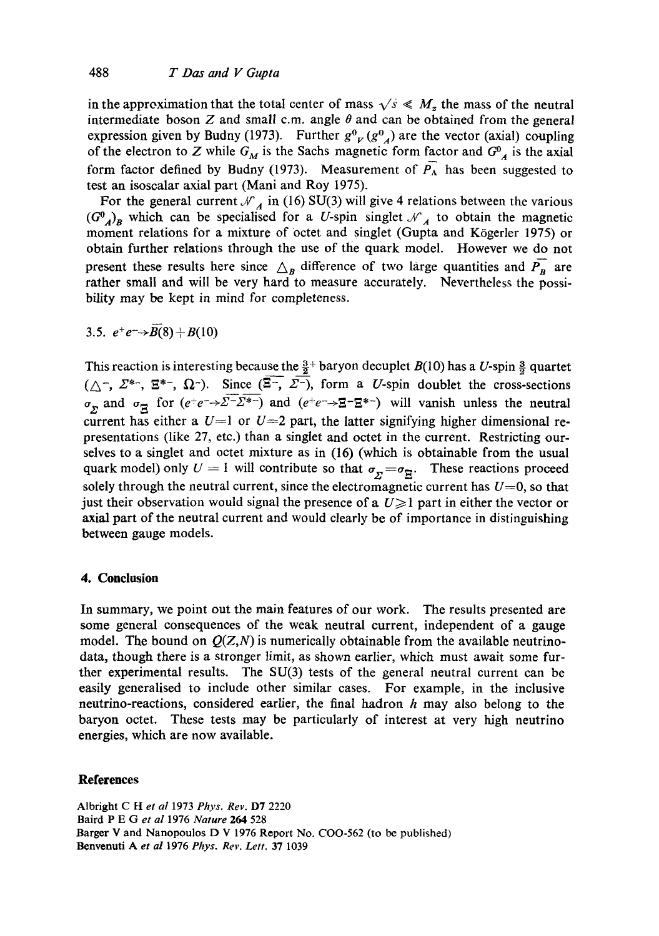in the approximation that the total center of mass  $\sqrt{s} \ll M_z$  the mass of the neutral intermediate boson  $Z$  and small c.m. angle  $\theta$  and can be obtained from the general expression given by Budny (1973). Further  $g^0$  ( $g^0$ <sub>A</sub>) are the vector (axial) coupling of the electron to Z while  $G_M$  is the Sachs magnetic form factor and  $G^0_A$  is the axial form factor defined by Budny (1973). Measurement of  $\overline{P_A}$  has been suggested to test an isoscalar axial part (Mani and Roy 1975).

For the general current  $\mathcal{N}_A$  in (16) SU(3) will give 4 relations between the various  $(G^0_A)_B$  which can be specialised for a U-spin singlet  $\mathcal{N}_A$  to obtain the magnetic moment relations for a mixture of octet and singlet (Gupta and Kögerler 1975) or obtain further relations through the use of the quark model. However we do not present these results here since  $\Delta_B$  difference of two large quantities and  $\overrightarrow{P_B}$  are rather small and will be very hard to measure accurately. Nevertheless the possibility may be kept in mind for completeness.

3.5.  $e^+e^- \rightarrow \overline{B(8)} + B(10)$ 

This reaction is interesting because the  $\frac{3}{2}$ + baryon decuplet  $B(10)$  has a U-spin  $\frac{3}{2}$  quartet  $(\triangle^-, \triangle^{*-}, \Xi^{*-}, \Omega^-)$ . Since  $(\Xi^-, \Sigma^-)$ , form a U-spin doublet the cross-sections  $\sigma_{\bf r}$  and  $\sigma_{\bf r}$  for  $(e^+e^-\rightarrow \Sigma^- \Sigma^*)$  and  $(e^+e^-\rightarrow \Sigma^- \Sigma^*)$  will vanish unless the neutral current has either a  $U=1$  or  $U=2$  part, the latter signifying higher dimensional representations (like 27, etc.) than a singtet and octet in the current. Restricting ourselves to a singlet and octet mixture as in (16) (which is obtainable from the usual quark model) only  $U = 1$  will contribute so that  $\sigma_{\overline{y}} = \sigma_{\overline{p}}$ . These reactions proceed solely through the neutral current, since the electromagnetic current has  $U=0$ , so that just their observation would signal the presence of a  $U \geq 1$  part in either the vector or axial part of the neutral current and would clearly be of importance in distinguishing between gauge models.

### **4. Conclusion**

In summary, we point out the main features of our work. The results presented are some general consequences of the weak neutral current, independent of a gauge model. The bound on  $Q(Z, N)$  is numerically obtainable from the available neutrinodata, though there is a stronger limit, as shown earlier, which must await some further experimental results. The SU(3) tests of the general neutral current can be easily generalised to include other similar cases. For example, in the inclusive neutrino-reactions, considered earlier, the final hadron h may also belong to the baryon octet. These tests may be particularly of interest at very high neutrino energies, which are now available.

# **References**

Albright C H *et al* 1973 *Phys. Rev.* D7 2220 Baird P E Get *al* 1976 *Nature* 264 528 Barger V and Nanopoulos D V 1976 Report No. COO-562 (to be published) Benvenuti A *et al* 1976 *Phys. Rev. Lett,* 37 1039